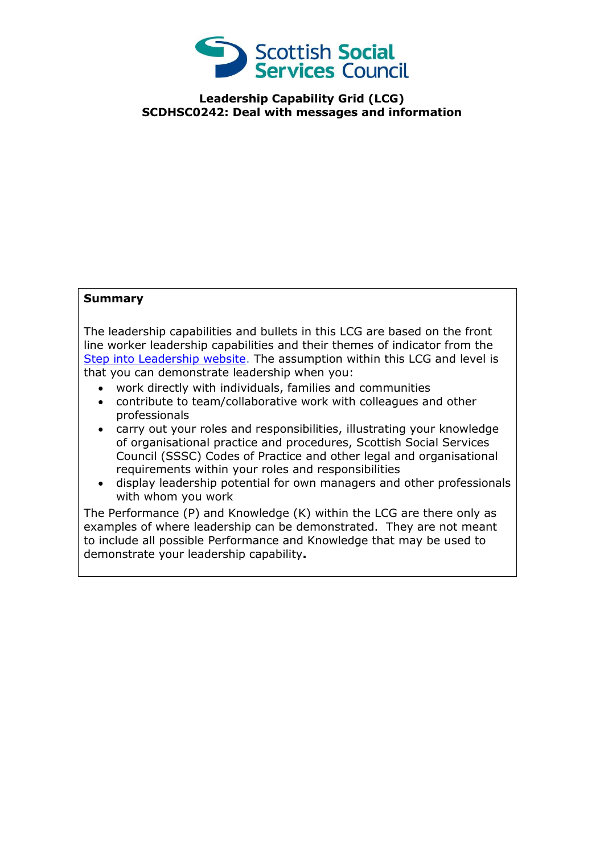

**Leadership Capability Grid (LCG) SCDHSC0242: Deal with messages and information**

## **Summary**

The leadership capabilities and bullets in this LCG are based on the front line worker leadership capabilities and their themes of indicator from the [Step into Leadership website.](http://www.stepintoleadership.info/) The assumption within this LCG and level is that you can demonstrate leadership when you:

- work directly with individuals, families and communities
- contribute to team/collaborative work with colleagues and other professionals
- carry out your roles and responsibilities, illustrating your knowledge of organisational practice and procedures, Scottish Social Services Council (SSSC) Codes of Practice and other legal and organisational requirements within your roles and responsibilities
- display leadership potential for own managers and other professionals with whom you work

The Performance (P) and Knowledge (K) within the LCG are there only as examples of where leadership can be demonstrated. They are not meant to include all possible Performance and Knowledge that may be used to demonstrate your leadership capability**.**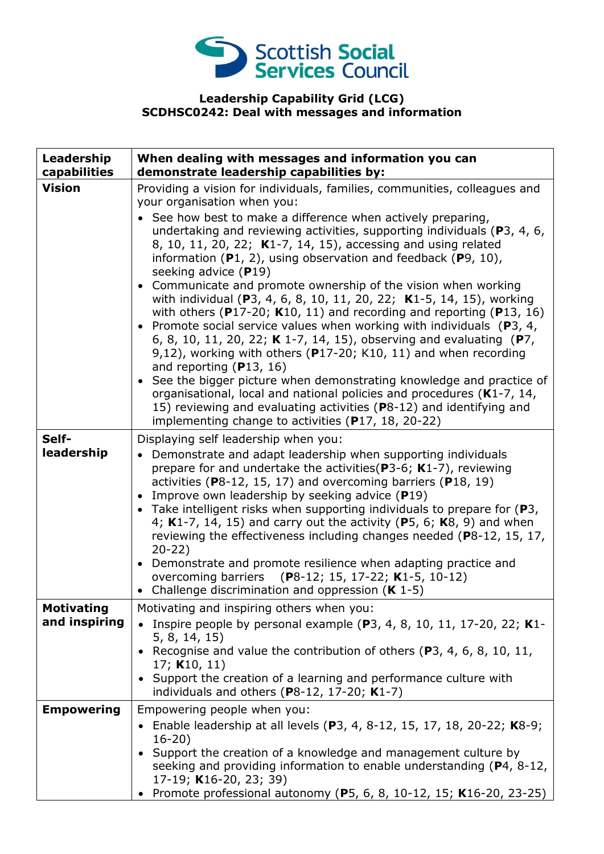

## **Leadership Capability Grid (LCG) SCDHSC0242: Deal with messages and information**

| Leadership<br>capabilities         | When dealing with messages and information you can<br>demonstrate leadership capabilities by:                                                                                                                                                                                                                                                                                                                                                                                                                                                                                                                                                                                                                                                                                                                                                                                                                                                                                                                                                                                                                                                                                        |
|------------------------------------|--------------------------------------------------------------------------------------------------------------------------------------------------------------------------------------------------------------------------------------------------------------------------------------------------------------------------------------------------------------------------------------------------------------------------------------------------------------------------------------------------------------------------------------------------------------------------------------------------------------------------------------------------------------------------------------------------------------------------------------------------------------------------------------------------------------------------------------------------------------------------------------------------------------------------------------------------------------------------------------------------------------------------------------------------------------------------------------------------------------------------------------------------------------------------------------|
| <b>Vision</b>                      | Providing a vision for individuals, families, communities, colleagues and<br>your organisation when you:<br>• See how best to make a difference when actively preparing,<br>undertaking and reviewing activities, supporting individuals (P3, 4, 6,<br>8, 10, 11, 20, 22; K1-7, 14, 15), accessing and using related<br>information $(P1, 2)$ , using observation and feedback $(P9, 10)$ ,<br>seeking advice (P19)<br>• Communicate and promote ownership of the vision when working<br>with individual (P3, 4, 6, 8, 10, 11, 20, 22; K1-5, 14, 15), working<br>with others ( $P17-20$ ; K10, 11) and recording and reporting ( $P13$ , 16)<br>• Promote social service values when working with individuals ( $P_3$ , 4,<br>6, 8, 10, 11, 20, 22; K 1-7, 14, 15), observing and evaluating (P7,<br>9,12), working with others ( $P17-20$ ; K10, 11) and when recording<br>and reporting $(P13, 16)$<br>• See the bigger picture when demonstrating knowledge and practice of<br>organisational, local and national policies and procedures (K1-7, 14,<br>15) reviewing and evaluating activities (P8-12) and identifying and<br>implementing change to activities (P17, 18, 20-22) |
| Self-<br>leadership                | Displaying self leadership when you:<br>• Demonstrate and adapt leadership when supporting individuals<br>prepare for and undertake the activities ( $P3-6$ ; K1-7), reviewing<br>activities ( $P8-12$ , 15, 17) and overcoming barriers ( $P18$ , 19)<br>• Improve own leadership by seeking advice (P19)<br>• Take intelligent risks when supporting individuals to prepare for $(P3,$<br>4; K1-7, 14, 15) and carry out the activity (P5, 6; K8, 9) and when<br>reviewing the effectiveness including changes needed (P8-12, 15, 17,<br>$20 - 22$<br>• Demonstrate and promote resilience when adapting practice and<br>overcoming barriers (P8-12; 15, 17-22; K1-5, 10-12)<br>• Challenge discrimination and oppression $(K 1-5)$                                                                                                                                                                                                                                                                                                                                                                                                                                                |
| <b>Motivating</b><br>and inspiring | Motivating and inspiring others when you:<br>Inspire people by personal example $(P3, 4, 8, 10, 11, 17-20, 22; K1$ -<br>5, 8, 14, 15)<br>• Recognise and value the contribution of others (P3, 4, 6, 8, 10, 11,<br>17; $K10, 11$<br>• Support the creation of a learning and performance culture with<br>individuals and others (P8-12, 17-20; $K1-7$ )                                                                                                                                                                                                                                                                                                                                                                                                                                                                                                                                                                                                                                                                                                                                                                                                                              |
| <b>Empowering</b>                  | Empowering people when you:<br>• Enable leadership at all levels (P3, 4, 8-12, 15, 17, 18, 20-22; K8-9;<br>$16-20)$<br>• Support the creation of a knowledge and management culture by<br>seeking and providing information to enable understanding (P4, 8-12,<br>17-19; K16-20, 23; 39)<br>• Promote professional autonomy (P5, 6, 8, 10-12, 15; K16-20, 23-25)                                                                                                                                                                                                                                                                                                                                                                                                                                                                                                                                                                                                                                                                                                                                                                                                                     |